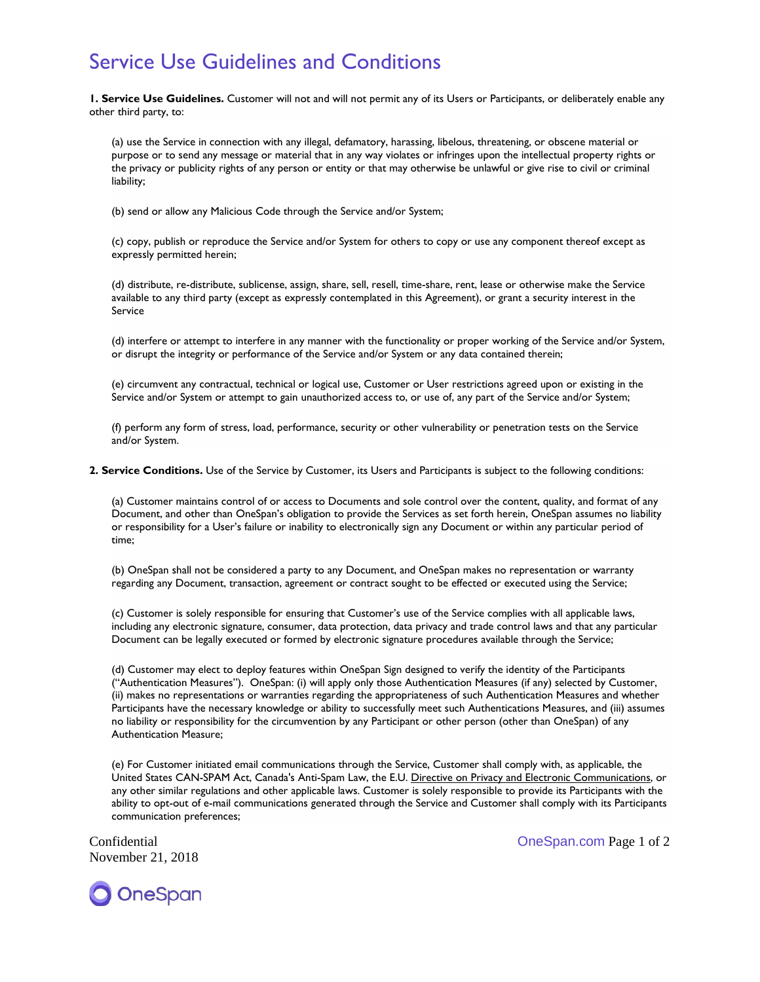## Service Use Guidelines and Conditions

**1. Service Use Guidelines.** Customer will not and will not permit any of its Users or Participants, or deliberately enable any other third party, to:

(a) use the Service in connection with any illegal, defamatory, harassing, libelous, threatening, or obscene material or purpose or to send any message or material that in any way violates or infringes upon the intellectual property rights or the privacy or publicity rights of any person or entity or that may otherwise be unlawful or give rise to civil or criminal liability;

(b) send or allow any Malicious Code through the Service and/or System;

(c) copy, publish or reproduce the Service and/or System for others to copy or use any component thereof except as expressly permitted herein;

(d) distribute, re-distribute, sublicense, assign, share, sell, resell, time-share, rent, lease or otherwise make the Service available to any third party (except as expressly contemplated in this Agreement), or grant a security interest in the Service

(d) interfere or attempt to interfere in any manner with the functionality or proper working of the Service and/or System, or disrupt the integrity or performance of the Service and/or System or any data contained therein;

(e) circumvent any contractual, technical or logical use, Customer or User restrictions agreed upon or existing in the Service and/or System or attempt to gain unauthorized access to, or use of, any part of the Service and/or System;

(f) perform any form of stress, load, performance, security or other vulnerability or penetration tests on the Service and/or System.

**2. Service Conditions.** Use of the Service by Customer, its Users and Participants is subject to the following conditions:

(a) Customer maintains control of or access to Documents and sole control over the content, quality, and format of any Document, and other than OneSpan's obligation to provide the Services as set forth herein, OneSpan assumes no liability or responsibility for a User's failure or inability to electronically sign any Document or within any particular period of time;

(b) OneSpan shall not be considered a party to any Document, and OneSpan makes no representation or warranty regarding any Document, transaction, agreement or contract sought to be effected or executed using the Service;

(c) Customer is solely responsible for ensuring that Customer's use of the Service complies with all applicable laws, including any electronic signature, consumer, data protection, data privacy and trade control laws and that any particular Document can be legally executed or formed by electronic signature procedures available through the Service;

(d) Customer may elect to deploy features within OneSpan Sign designed to verify the identity of the Participants ("Authentication Measures"). OneSpan: (i) will apply only those Authentication Measures (if any) selected by Customer, (ii) makes no representations or warranties regarding the appropriateness of such Authentication Measures and whether Participants have the necessary knowledge or ability to successfully meet such Authentications Measures, and (iii) assumes no liability or responsibility for the circumvention by any Participant or other person (other than OneSpan) of any Authentication Measure;

(e) For Customer initiated email communications through the Service, Customer shall comply with, as applicable, the United States CAN-SPAM Act, Canada's Anti-Spam Law, the E.U. [Directive on Privacy and Electronic Communications,](https://en.wikipedia.org/wiki/Directive_on_Privacy_and_Electronic_Communications%22%20%5Co%20%22Directive%20on%20Privacy%20and%20Electronic%20Communications) or any other similar regulations and other applicable laws. Customer is solely responsible to provide its Participants with the ability to opt-out of e-mail communications generated through the Service and Customer shall comply with its Participants communication preferences;

November 21, 2018

Confidential OneSpan.com Page 1 of 2